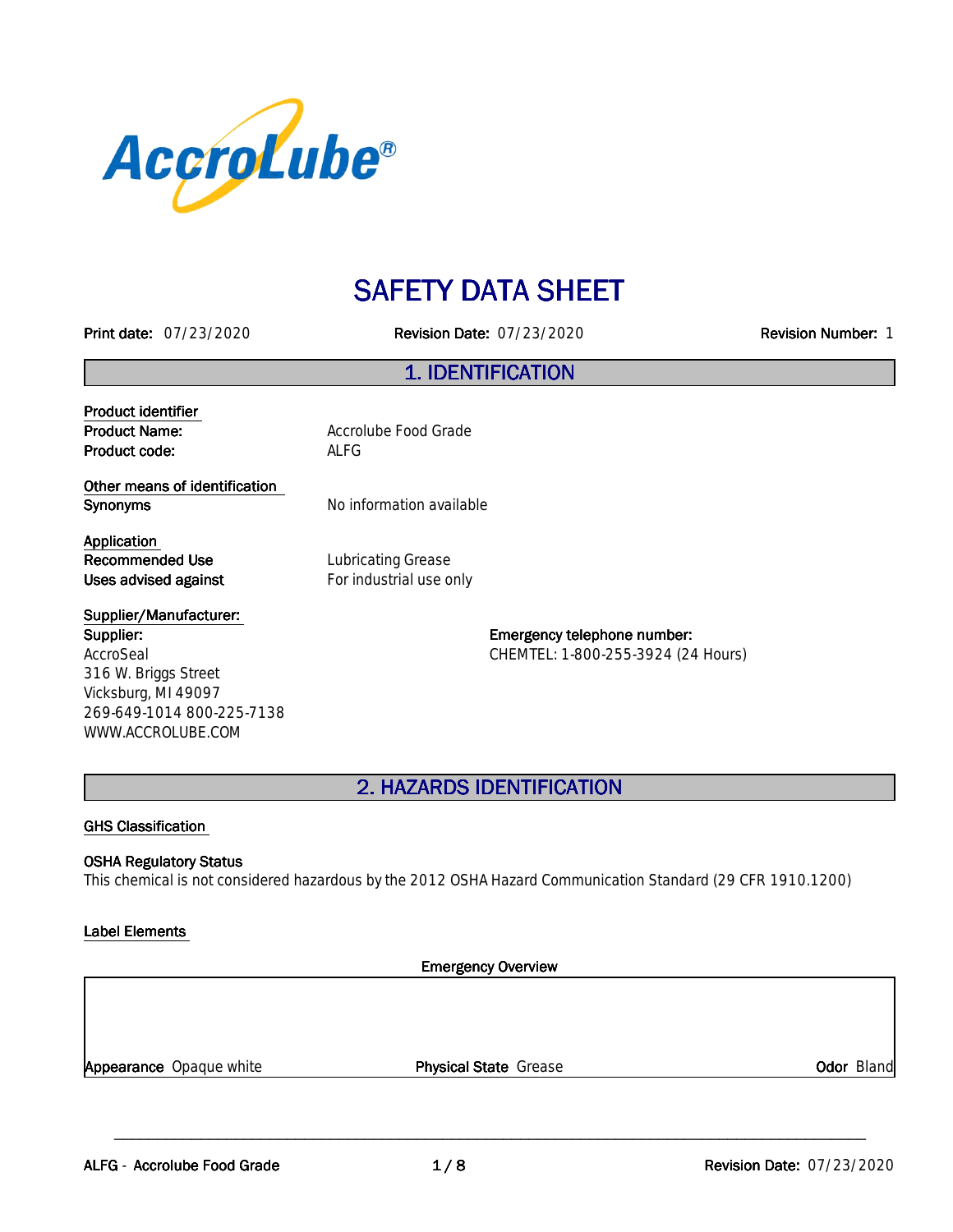

# **SAFETY DATA SHEET**

**Printdate:**07/23/2020 **RevisionDate:**07/23/2020 **RevisionNumber:**1

### **1.IDENTIFICATION**

**Product identifier Product code:** ALFG

**Product Name:** Accrolube Food Grade

**Other means of identification Synonyms** No information available

**Application Recommended Use** Lubricating Grease **Uses advised against For industrial use only** 

#### **Supplier/Manufacturer: Supplier:** AccroSeal 316 W. Briggs Street Vicksburg, MI 49097 269-649-1014 800-225-7138

WWW.ACCROLUBE.COM

**Emergency telephone number:** CHEMTEL: 1-800-255-3924 (24 Hours)

**2.HAZARDSIDENTIFICATION**

#### **GHS Classification**

#### **OSHA Regulatory Status**

This chemical is not considered hazardous by the 2012 OSHA Hazard Communication Standard (29 CFR 1910.1200)

#### **Label Elements**

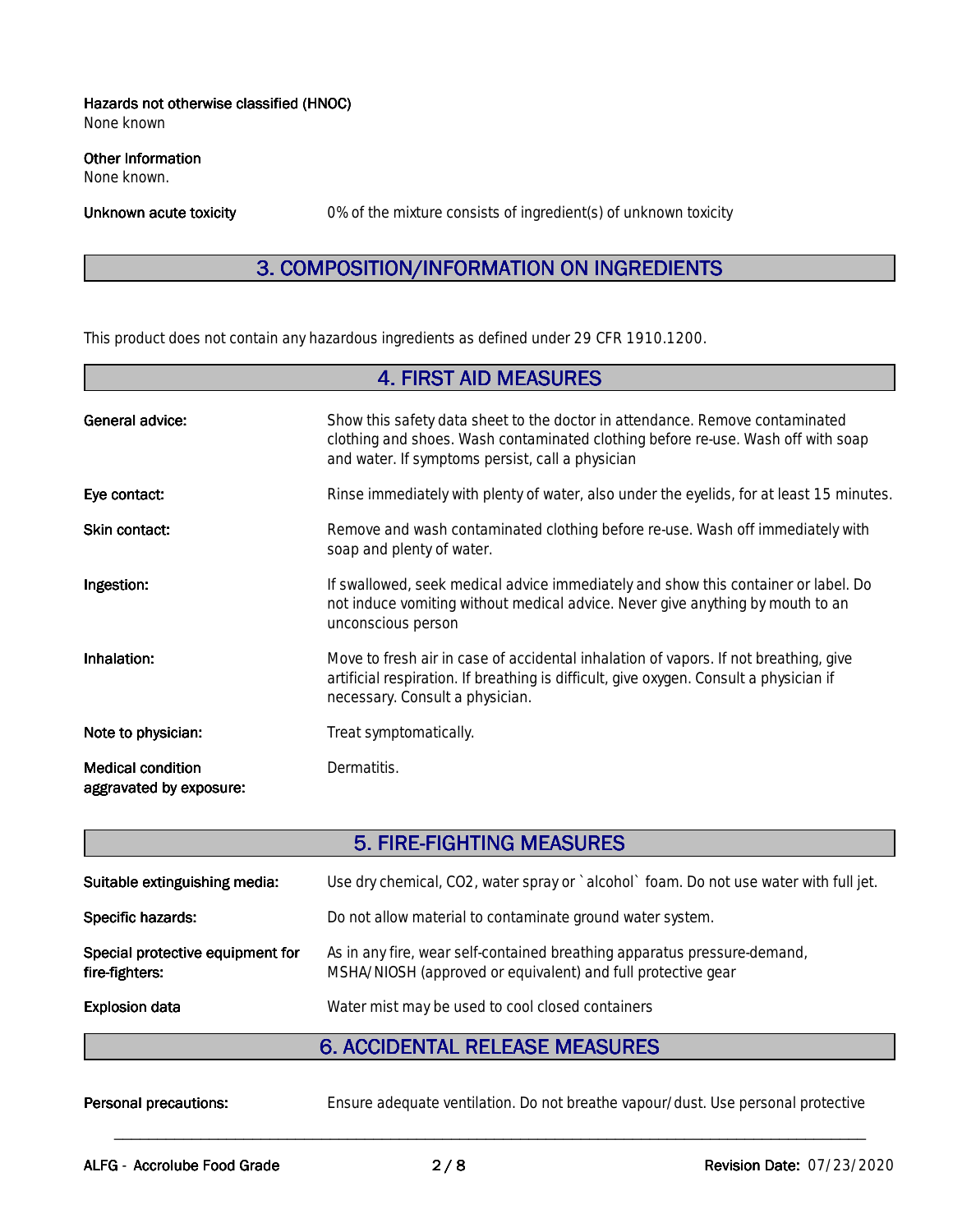#### **Hazards not otherwise classified (HNOC)**

None known

#### **Other Information**

None known.

Unknown acute toxicity **0%** of the mixture consists of ingredient(s) of unknown toxicity

# **3. COMPOSITION/INFORMATION ON INGREDIENTS**

This product does not contain any hazardous ingredients as defined under 29 CFR 1910.1200.

| <b>4. FIRST AID MEASURES</b>                        |                                                                                                                                                                                                                      |  |
|-----------------------------------------------------|----------------------------------------------------------------------------------------------------------------------------------------------------------------------------------------------------------------------|--|
| <b>General advice:</b>                              | Show this safety data sheet to the doctor in attendance. Remove contaminated<br>clothing and shoes. Wash contaminated clothing before re-use. Wash off with soap<br>and water. If symptoms persist, call a physician |  |
| Eye contact:                                        | Rinse immediately with plenty of water, also under the eyelids, for at least 15 minutes.                                                                                                                             |  |
| Skin contact:                                       | Remove and wash contaminated clothing before re-use. Wash off immediately with<br>soap and plenty of water.                                                                                                          |  |
| Ingestion:                                          | If swallowed, seek medical advice immediately and show this container or label. Do<br>not induce vomiting without medical advice. Never give anything by mouth to an<br>unconscious person                           |  |
| Inhalation:                                         | Move to fresh air in case of accidental inhalation of vapors. If not breathing, give<br>artificial respiration. If breathing is difficult, give oxygen. Consult a physician if<br>necessary. Consult a physician.    |  |
| Note to physician:                                  | Treat symptomatically.                                                                                                                                                                                               |  |
| <b>Medical condition</b><br>aggravated by exposure: | Dermatitis.                                                                                                                                                                                                          |  |

### **5. FIRE-FIGHTING MEASURES**

| Use dry chemical, CO2, water spray or `alcohol` foam. Do not use water with full jet.<br>Do not allow material to contaminate ground water system.<br>As in any fire, wear self-contained breathing apparatus pressure-demand,<br>MSHA/NIOSH (approved or equivalent) and full protective gear<br>Water mist may be used to cool closed containers |                                                    |  |
|----------------------------------------------------------------------------------------------------------------------------------------------------------------------------------------------------------------------------------------------------------------------------------------------------------------------------------------------------|----------------------------------------------------|--|
|                                                                                                                                                                                                                                                                                                                                                    | <b>Explosion data</b>                              |  |
|                                                                                                                                                                                                                                                                                                                                                    | Special protective equipment for<br>fire-fighters: |  |
|                                                                                                                                                                                                                                                                                                                                                    | Specific hazards:                                  |  |
|                                                                                                                                                                                                                                                                                                                                                    | Suitable extinguishing media:                      |  |

#### **6. ACCIDENTAL RELEASE MEASURES**

Personal precautions: Ensure adequate ventilation. Do not breathe vapour/dust. Use personal protective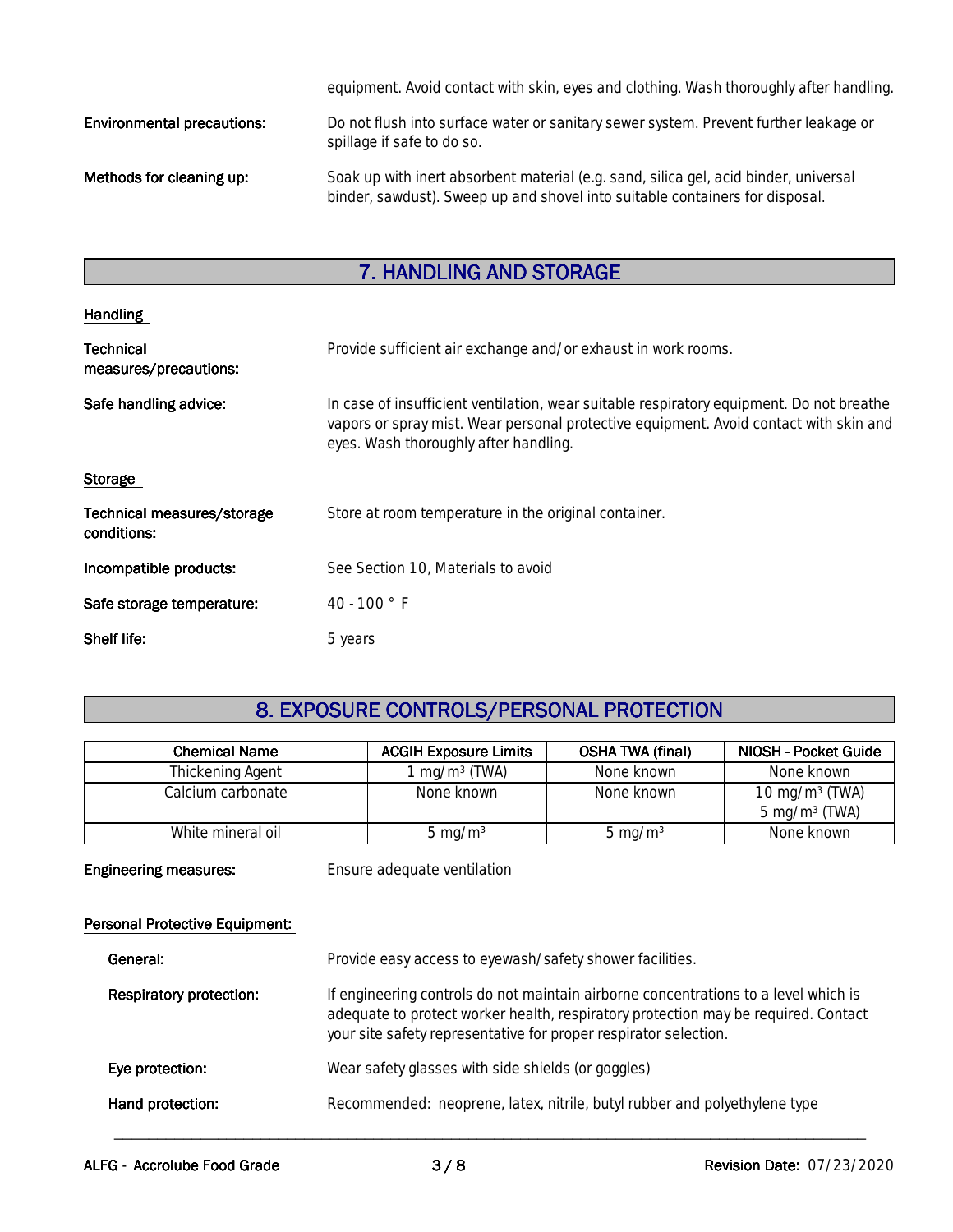|                                   | equipment. Avoid contact with skin, eyes and clothing. Wash thoroughly after handling.                                                                               |
|-----------------------------------|----------------------------------------------------------------------------------------------------------------------------------------------------------------------|
| <b>Environmental precautions:</b> | Do not flush into surface water or sanitary sewer system. Prevent further leakage or<br>spillage if safe to do so.                                                   |
| Methods for cleaning up:          | Soak up with inert absorbent material (e.g. sand, silica gel, acid binder, universal<br>binder, sawdust). Sweep up and shovel into suitable containers for disposal. |

# **7. HANDLING AND STORAGE**

| <b>Handling</b>                           |                                                                                                                                                                                                                            |  |
|-------------------------------------------|----------------------------------------------------------------------------------------------------------------------------------------------------------------------------------------------------------------------------|--|
| <b>Technical</b><br>measures/precautions: | Provide sufficient air exchange and/or exhaust in work rooms.                                                                                                                                                              |  |
| Safe handling advice:                     | In case of insufficient ventilation, wear suitable respiratory equipment. Do not breathe<br>vapors or spray mist. Wear personal protective equipment. Avoid contact with skin and<br>eyes. Wash thoroughly after handling. |  |
| <b>Storage</b>                            |                                                                                                                                                                                                                            |  |
| Technical measures/storage<br>conditions: | Store at room temperature in the original container.                                                                                                                                                                       |  |
| Incompatible products:                    | See Section 10, Materials to avoid                                                                                                                                                                                         |  |
| Safe storage temperature:                 | 40 - 100 $^{\circ}$ F                                                                                                                                                                                                      |  |
| Shelf life:                               | 5 years                                                                                                                                                                                                                    |  |

# **8. EXPOSURE CONTROLS/PERSONAL PROTECTION**

| <b>Chemical Name</b> | <b>ACGIH Exposure Limits</b> | <b>OSHA TWA (final)</b> | NIOSH - Pocket Guide     |
|----------------------|------------------------------|-------------------------|--------------------------|
| Thickening Agent     | . mg/m $3$ (TWA)             | None known              | None known               |
| Calcium carbonate    | None known                   | None known              | 10 mg/m $3$ (TWA)        |
|                      |                              |                         | $5 \text{ mg/m}^3$ (TWA) |
| White mineral oil    | 5 mg/m <sup>3</sup>          | 5 mg/m $3$              | None known               |

**Engineering measures:** Ensure adequate ventilation

#### **Personal Protective Equipment:**

| General:                       | Provide easy access to eyewash/safety shower facilities.                                                                                                                                                                                      |
|--------------------------------|-----------------------------------------------------------------------------------------------------------------------------------------------------------------------------------------------------------------------------------------------|
| <b>Respiratory protection:</b> | If engineering controls do not maintain airborne concentrations to a level which is<br>adequate to protect worker health, respiratory protection may be required. Contact<br>your site safety representative for proper respirator selection. |
| Eye protection:                | Wear safety glasses with side shields (or goggles)                                                                                                                                                                                            |
| Hand protection:               | Recommended: neoprene, latex, nitrile, butyl rubber and polyethylene type                                                                                                                                                                     |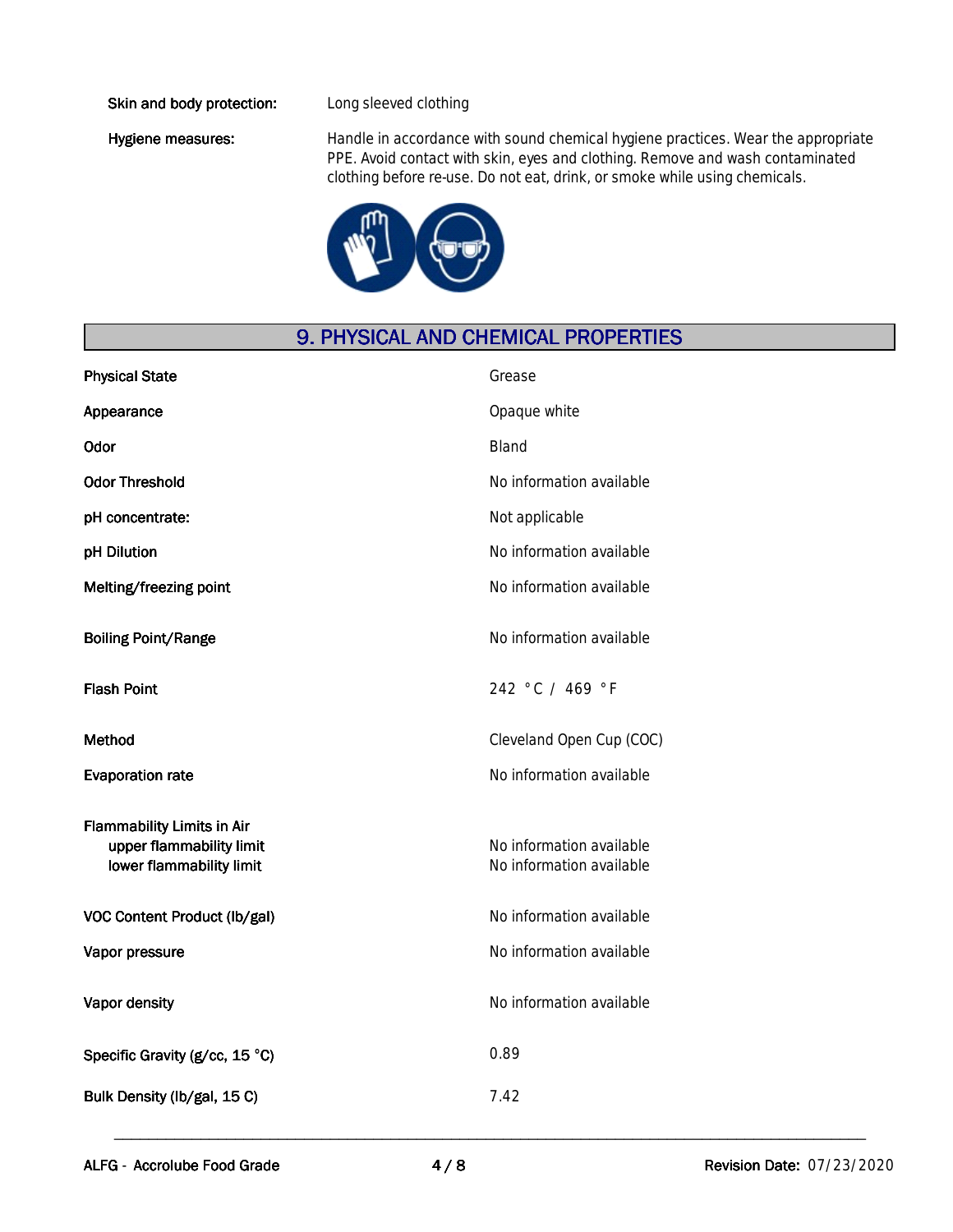#### **Skin and body protection:** Long sleeved clothing

Hygiene measures: Handle in accordance with sound chemical hygiene practices. Wear the appropriate PPE. Avoid contact with skin, eyes and clothing. Remove and wash contaminated clothing before re-use. Do not eat, drink, or smoke while using chemicals.



### **9. PHYSICAL AND CHEMICAL PROPERTIES**

| <b>Physical State</b>                                                                     | Grease                                               |
|-------------------------------------------------------------------------------------------|------------------------------------------------------|
| Appearance                                                                                | Opaque white                                         |
| Odor                                                                                      | <b>Bland</b>                                         |
| <b>Odor Threshold</b>                                                                     | No information available                             |
| pH concentrate:                                                                           | Not applicable                                       |
| pH Dilution                                                                               | No information available                             |
| Melting/freezing point                                                                    | No information available                             |
| <b>Boiling Point/Range</b>                                                                | No information available                             |
| <b>Flash Point</b>                                                                        | 242 °C / 469 °F                                      |
| <b>Method</b>                                                                             | Cleveland Open Cup (COC)                             |
| <b>Evaporation rate</b>                                                                   | No information available                             |
| <b>Flammability Limits in Air</b><br>upper flammability limit<br>lower flammability limit | No information available<br>No information available |
| VOC Content Product (lb/gal)                                                              | No information available                             |
| Vapor pressure                                                                            | No information available                             |
| Vapor density                                                                             | No information available                             |
| Specific Gravity (g/cc, 15 °C)                                                            | 0.89                                                 |
| Bulk Density (lb/gal, 15 C)                                                               | 7.42                                                 |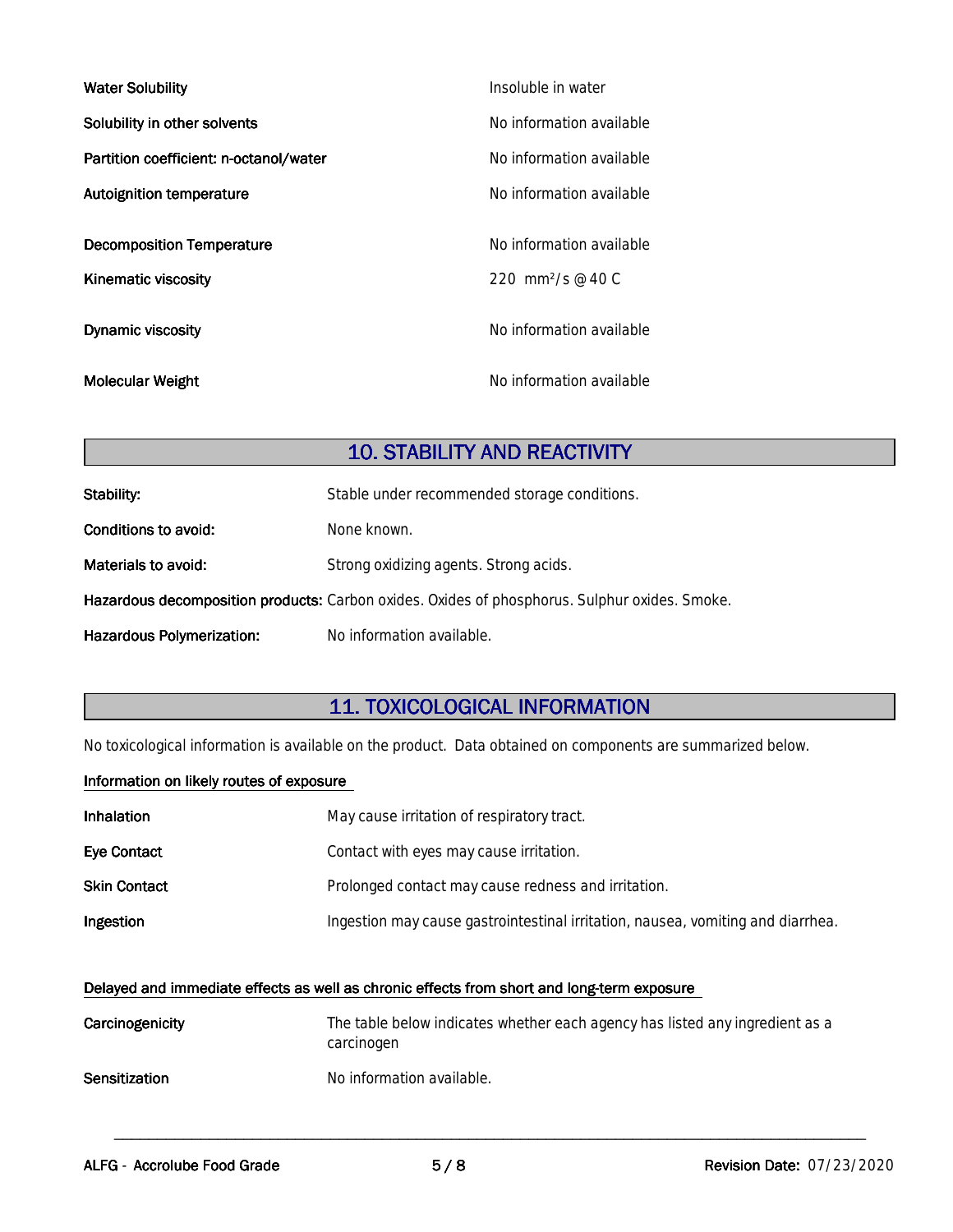| <b>Water Solubility</b>                | Insoluble in water            |
|----------------------------------------|-------------------------------|
| Solubility in other solvents           | No information available      |
| Partition coefficient: n-octanol/water | No information available      |
| <b>Autoignition temperature</b>        | No information available      |
|                                        |                               |
| <b>Decomposition Temperature</b>       | No information available      |
| <b>Kinematic viscosity</b>             | 220 mm <sup>2</sup> /s @ 40 C |
|                                        |                               |
| <b>Dynamic viscosity</b>               | No information available      |
|                                        |                               |
| <b>Molecular Weight</b>                | No information available      |

### **10. STABILITY AND REACTIVITY**

| Stability:                       | Stable under recommended storage conditions.                                                  |  |
|----------------------------------|-----------------------------------------------------------------------------------------------|--|
| Conditions to avoid:             | None known.                                                                                   |  |
| Materials to avoid:              | Strong oxidizing agents. Strong acids.                                                        |  |
|                                  | Hazardous decomposition products: Carbon oxides. Oxides of phosphorus. Sulphur oxides. Smoke. |  |
| <b>Hazardous Polymerization:</b> | No information available.                                                                     |  |

# **11.TOXICOLOGICALINFORMATION**

No toxicological information is available on the product. Data obtained on components are summarized below.

#### **Information on likely routes of exposure**

| Inhalation   | May cause irritation of respiratory tract.                                      |
|--------------|---------------------------------------------------------------------------------|
| Eye Contact  | Contact with eyes may cause irritation.                                         |
| Skin Contact | Prolonged contact may cause redness and irritation.                             |
| Ingestion    | Ingestion may cause gastrointestinal irritation, nausea, vomiting and diarrhea. |

#### Delayed and immediate effects as well as chronic effects from short and long-term exposure

| Carcinogenicity      | The table below indicates whether each agency has listed any ingredient as a<br>carcinogen |
|----------------------|--------------------------------------------------------------------------------------------|
| <b>Sensitization</b> | No information available.                                                                  |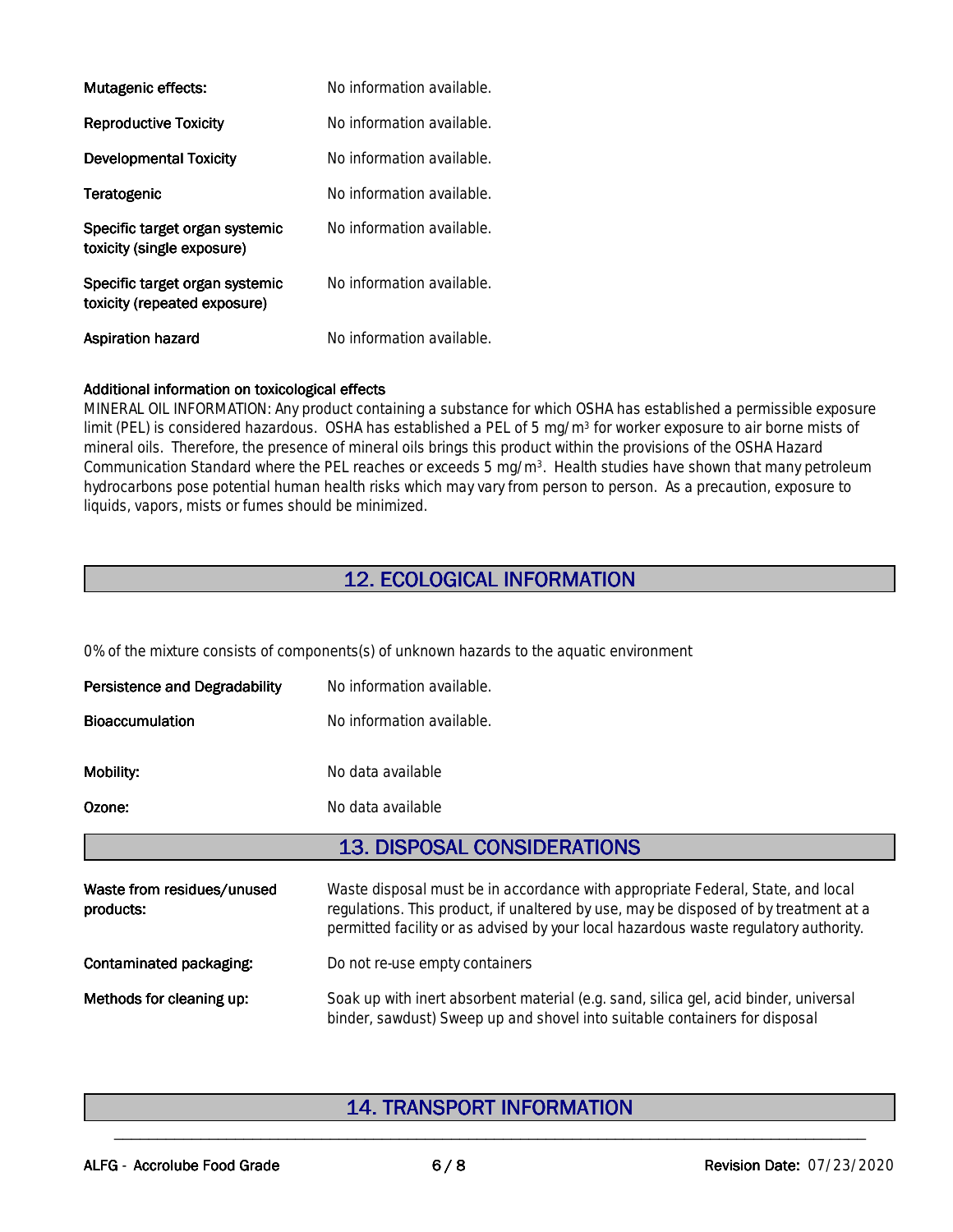| Mutagenic effects:                                             | No information available. |
|----------------------------------------------------------------|---------------------------|
| <b>Reproductive Toxicity</b>                                   | No information available. |
| <b>Developmental Toxicity</b>                                  | No information available. |
| Teratogenic                                                    | No information available. |
| Specific target organ systemic<br>toxicity (single exposure)   | No information available. |
| Specific target organ systemic<br>toxicity (repeated exposure) | No information available. |
| <b>Aspiration hazard</b>                                       | No information available. |

#### **Additional information on toxicological effects**

MINERAL OIL INFORMATION: Any product containing a substance for which OSHA has established a permissible exposure limit (PEL) is considered hazardous. OSHA has established a PEL of 5 mg/m<sup>3</sup> for worker exposure to air borne mists of mineral oils. Therefore, the presence of mineral oils brings this product within the provisions of the OSHA Hazard Communication Standard where the PEL reaches or exceeds 5 mg/m<sup>3</sup>. Health studies have shown that many petroleum hydrocarbons pose potential human health risks which may vary from person to person. As a precaution, exposure to liquids, vapors, mists or fumes should be minimized.

# **12.ECOLOGICALINFORMATION**

0% of the mixture consists of components(s) of unknown hazards to the aquatic environment

| <b>Persistence and Degradability</b>    | No information available.                                                                                                                                                                                                                                       |  |
|-----------------------------------------|-----------------------------------------------------------------------------------------------------------------------------------------------------------------------------------------------------------------------------------------------------------------|--|
| <b>Bioaccumulation</b>                  | No information available.                                                                                                                                                                                                                                       |  |
| Mobility:                               | No data available                                                                                                                                                                                                                                               |  |
| Ozone:                                  | No data available                                                                                                                                                                                                                                               |  |
|                                         | <b>13. DISPOSAL CONSIDERATIONS</b>                                                                                                                                                                                                                              |  |
| Waste from residues/unused<br>products: | Waste disposal must be in accordance with appropriate Federal, State, and local<br>regulations. This product, if unaltered by use, may be disposed of by treatment at a<br>permitted facility or as advised by your local hazardous waste regulatory authority. |  |
| Contaminated packaging:                 | Do not re-use empty containers                                                                                                                                                                                                                                  |  |
| Methods for cleaning up:                | Soak up with inert absorbent material (e.g. sand, silica gel, acid binder, universal<br>binder, sawdust) Sweep up and shovel into suitable containers for disposal                                                                                              |  |

### **14. TRANSPORT INFORMATION**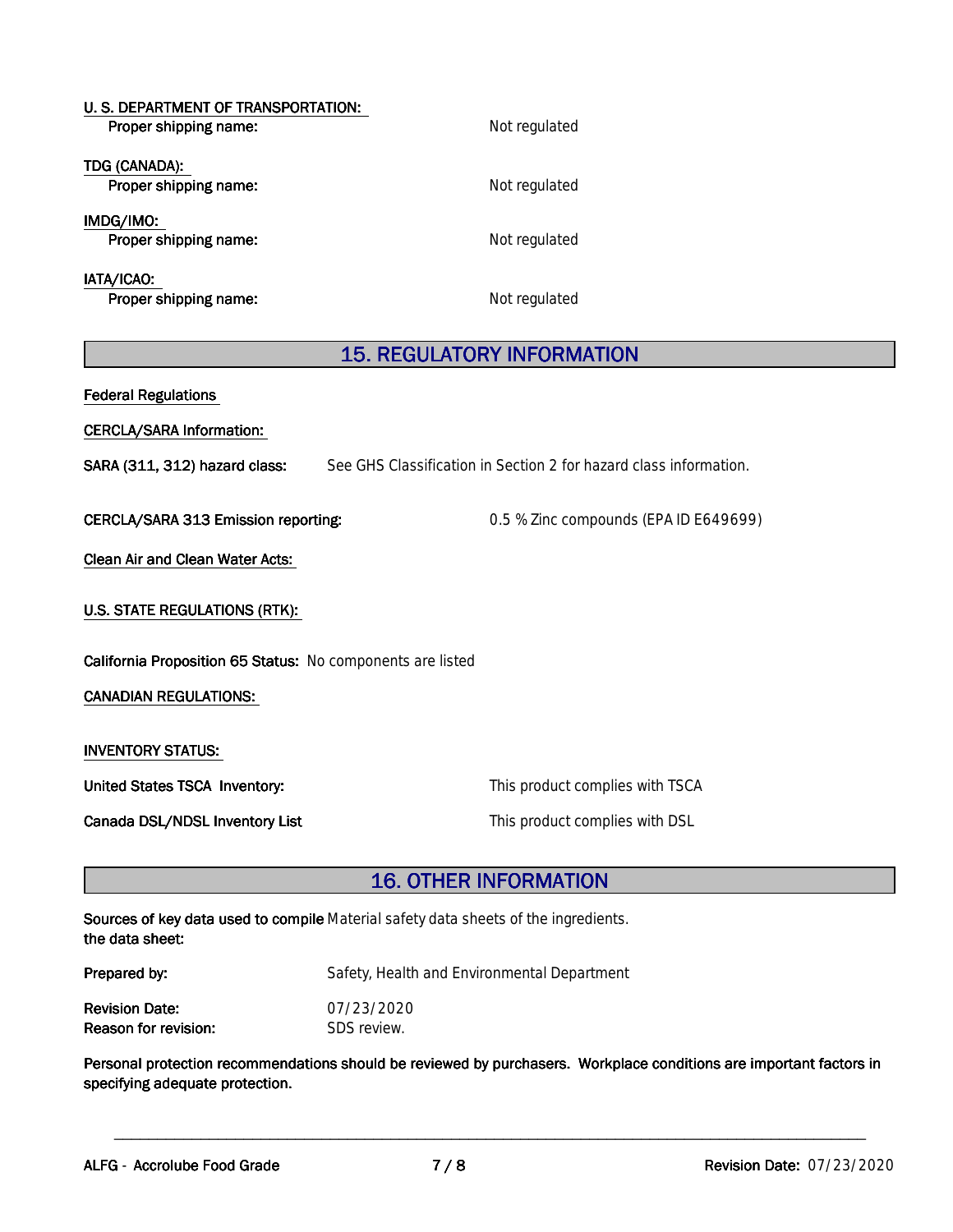| U. S. DEPARTMENT OF TRANSPORTATION:<br>Proper shipping name: | Not regulated |  |
|--------------------------------------------------------------|---------------|--|
| TDG (CANADA):<br>Proper shipping name:                       | Not regulated |  |
| IMDG/IMO:<br>Proper shipping name:                           | Not regulated |  |
| IATA/ICAO:<br>Proper shipping name:                          | Not regulated |  |

# **15. REGULATORY INFORMATION**

| <b>Federal Regulations</b>                                                                         |                                       |  |  |  |
|----------------------------------------------------------------------------------------------------|---------------------------------------|--|--|--|
| CERCLA/SARA Information:                                                                           |                                       |  |  |  |
| SARA (311, 312) hazard class:<br>See GHS Classification in Section 2 for hazard class information. |                                       |  |  |  |
| CERCLA/SARA 313 Emission reporting:                                                                | 0.5 % Zinc compounds (EPA ID E649699) |  |  |  |
| Clean Air and Clean Water Acts:                                                                    |                                       |  |  |  |
| <b>U.S. STATE REGULATIONS (RTK):</b>                                                               |                                       |  |  |  |
| California Proposition 65 Status: No components are listed                                         |                                       |  |  |  |
| <b>CANADIAN REGULATIONS:</b>                                                                       |                                       |  |  |  |
| <b>INVENTORY STATUS:</b>                                                                           |                                       |  |  |  |
| United States TSCA Inventory:                                                                      | This product complies with TSCA       |  |  |  |
| Canada DSL/NDSL Inventory List                                                                     | This product complies with DSL        |  |  |  |

# **16. OTHER INFORMATION**

| Sources of key data used to compile Material safety data sheets of the ingredients. |  |
|-------------------------------------------------------------------------------------|--|
| the data sheet:                                                                     |  |

| Prepared by:          | Safety, Health and Environmental Department |
|-----------------------|---------------------------------------------|
| <b>Revision Date:</b> | 07/23/2020                                  |
| Reason for revision:  | SDS review.                                 |

Personal protection recommendations should be reviewed by purchasers. Workplace conditions are important factors in specifying adequate protection.